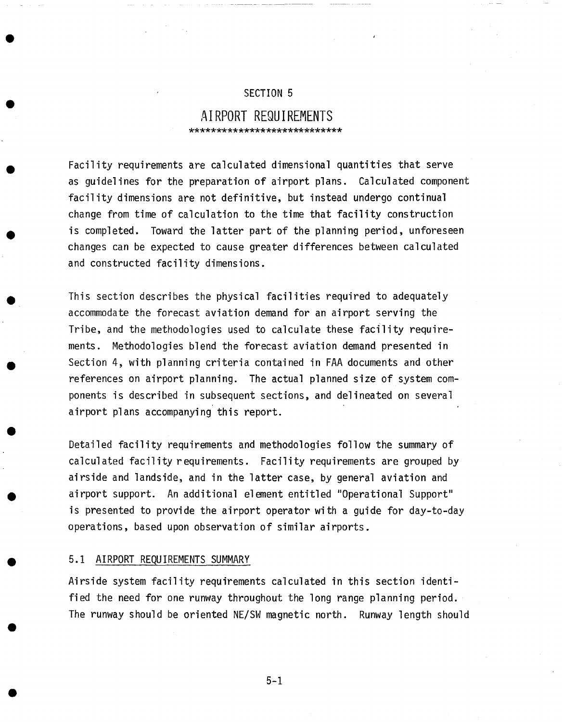#### SECTION 5

J

## **AIRPORT REQUIREMENTS**  \*\*\*\*\*\*\*\*\*\*\*\*\*\*\*\*\*\*\*\*\*\*\*\*\*\*\*\*\*

Facility requirements are calculated dimensional quantities that serve as guidelines for the preparation of airport plans. Calculated component facility dimensions are not definitive, but instead undergo continual change from time of calculation to the time that facility construction is completed. Toward the latter part of the planning period, unforeseen changes can be expected to cause greater differences between calculated and constructed facility dimensions.

This section describes the physical facilities required to adequately accommodate the forecast aviation demand for an airport serving the Tribe, and the methodologies used to calculate these facility requirements. Methodologies blend the forecast aviation demand presented in Section 4, with planning criteria contained in FAA documents and other references on airport planning. The actual planned size of system components is described in subsequent sections, and delineated on several airport plans accompanying this report.

Detailed facility requirements and methodologies follow the summary of calculated facility requirements. Facility requirements are grouped by airside and landside, and in the latter case, by general aviation and airport support. An additional element entitled "Operational Support" is presented to provide the airport operator with a guide for day-to-day operations, based upon observation of similar airports.

#### 5.1 AIRPORT REQUIREMENTS SUMMARY

Airside system facility requirements calculated in this section identified the need for one runway throughout the long range planning period. The runway should be oriented NE/SW magnetic north. Runway length should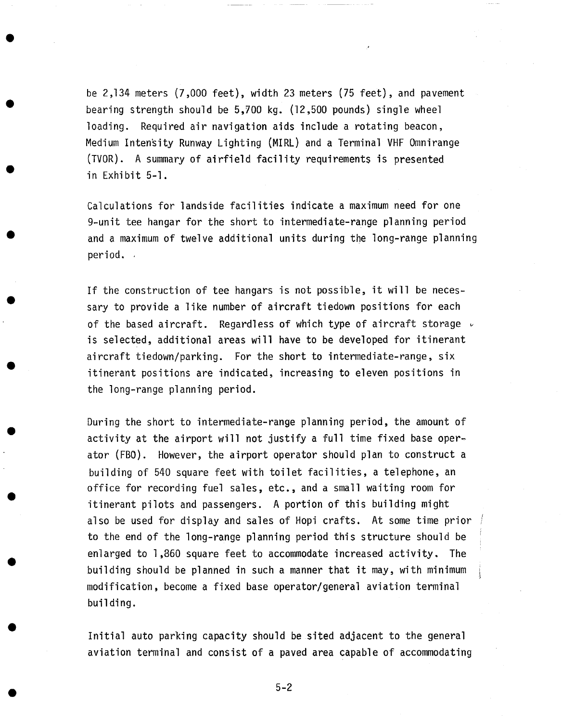be 2,134 meters (7,000 feet), width 23 meters (75 feet), and pavement bearing strength should be 5,700 kg. (12,500 pounds) single wheel loading. Required air navigation aids include a rotating beacon, Medium IntenSity Runway Lighting (MIRL) and a Terminal VHF Omnirange (TVOR). A summary of airfield facility requirements is presented in Exhibit 5-I.

Calculations for landside facilities indicate a maximum need for one 9-unit tee hangar for the short to intermediate-range planning period and a maximum of twelve additional units during the long-range planning period.

If the construction of tee hangars is not possible, it will be necessary to provide a like number of aircraft tiedown positions for each of the based aircraft. Regardless of which type of aircraft storage  $\nu$ is selected, additional areas will have to be developed for itinerant aircraft tiedown/parking. For the short to intermediate-range, six itinerant positions are indicated, increasing to eleven positions in the long-range planning period.

During the short to intermediate-range planning period, the amount of activity at the airport will not justify a full time fixed base operator (FBO). However, the airport operator should plan to construct a building of 540 square feet with toilet facilities, a telephone, an office for recording fuel sales, etc., and a small waiting room for itinerant pilots and passengers. A portion of this building might also be used for display and sales of Hopi crafts. At some time prior to the end of the long-range planning period this structure should be enlarged to 1,860 square feet to accommodate increased activity. The building should be planned in such a manner that it may, with minimum modification, become a fixed base operator/general aviation terminal building.

Initial auto parking capacity should be sited adjacent to the general aviation terminal and consist of a paved area capable of accommodating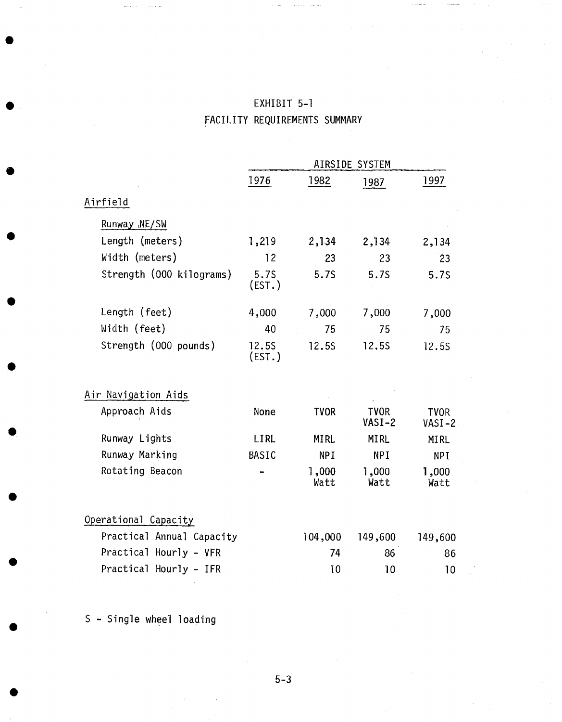|                           | AIRSIDE SYSTEM   |               |                       |                       |
|---------------------------|------------------|---------------|-----------------------|-----------------------|
|                           | 1976             | 1982          | 1987                  | 1997                  |
| Airfield                  |                  |               |                       |                       |
| Runway , NE/SW            |                  |               |                       |                       |
| Length (meters)           | 1,219            | 2,134         | 2,134                 | 2,134                 |
| Width (meters)            | 12               | 23            | 23                    | 23                    |
| Strength (000 kilograms)  | 5.75<br>$EST.$ ) | 5.7S          | 5.7S                  | 5.75                  |
| Length (feet)             | 4,000            | 7,000         | 7,000                 | 7,000                 |
| Width (feet)              | 40               | 75            | 75                    | 75                    |
| Strength (000 pounds)     | 12.55<br>(EST.)  | 12.5S         | 12.5S                 | 12.5S                 |
| Air Navigation Aids       |                  |               |                       |                       |
| Approach Aids             | None             | <b>TVOR</b>   | <b>TVOR</b><br>VASI-2 | <b>TVOR</b><br>VASI-2 |
| Runway Lights             | <b>LIRL</b>      | <b>MIRL</b>   | <b>MIRL</b>           | MIRL                  |
| Runway Marking            | BASIC            | <b>NPI</b>    | <b>NPI</b>            | <b>NPI</b>            |
| Rotating Beacon           |                  | 1,000<br>Watt | 1,000<br>Watt         | 1,000<br>Watt         |
| Operational Capacity      |                  |               |                       |                       |
| Practical Annual Capacity |                  | 104,000       | 149,600               | 149,600               |
| Practical Hourly - VFR    |                  | 74            | 86                    | 86                    |
| Practical Hourly - IFR    |                  | 10            | 10                    | 10                    |

# EXHIBIT 5-I FACILITY REQUIREMENTS SUMMARY

S - Single wheel loading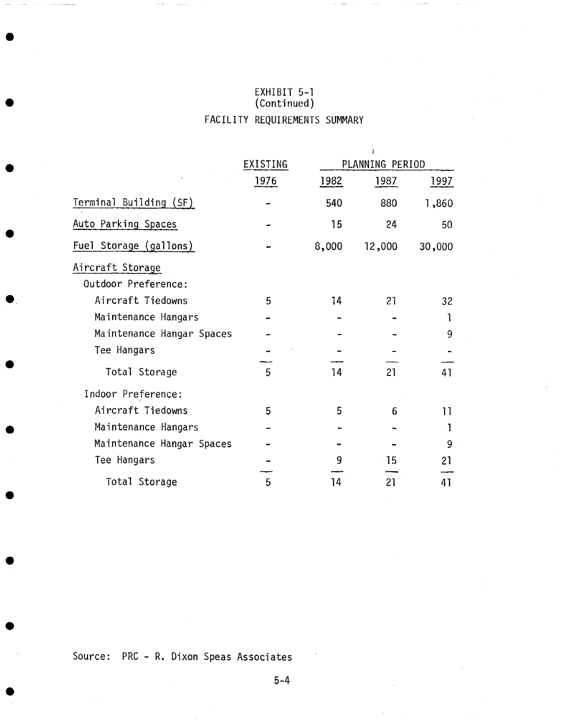# EXHIBIT 5-1<br>(Continued) FACILITY REQUIREMENTS SUMMARY

|                           |          |       | 1               |        |
|---------------------------|----------|-------|-----------------|--------|
|                           | EXISTING |       | PLANNING PERIOD |        |
|                           | 1976     | 1982  | 1987            | 1997   |
| Terminal Building (SF)    |          | 540   | 880             | 1,860  |
| Auto Parking Spaces       |          | 15    | 24              | 50     |
| Fuel Storage (gallons)    |          | 8,000 | 12,000          | 30,000 |
| Aircraft Storage          |          |       |                 |        |
| Outdoor Preference:       |          |       |                 |        |
| Aircraft Tiedowns         | 5        | 14    | 21              | 32     |
| Maintenance Hangars       |          |       |                 |        |
| Maintenance Hangar Spaces |          |       |                 | 9      |
| Tee Hangars               |          |       |                 |        |
| Total Storage             | 5        | 14    | 21              | 41     |
| Indoor Preference:        |          |       |                 |        |
| Aircraft Tiedowns         | 5        | 5     | 6               | 11     |
| Maintenance Hangars       |          |       |                 |        |
| Maintenance Hangar Spaces |          |       |                 | 9      |
| Tee Hangars               |          | 9     | 15              | 21     |
| Total Storage             | 5        | 14    | 21              | 41     |

Source: PRC - R. Dixon Speas Associates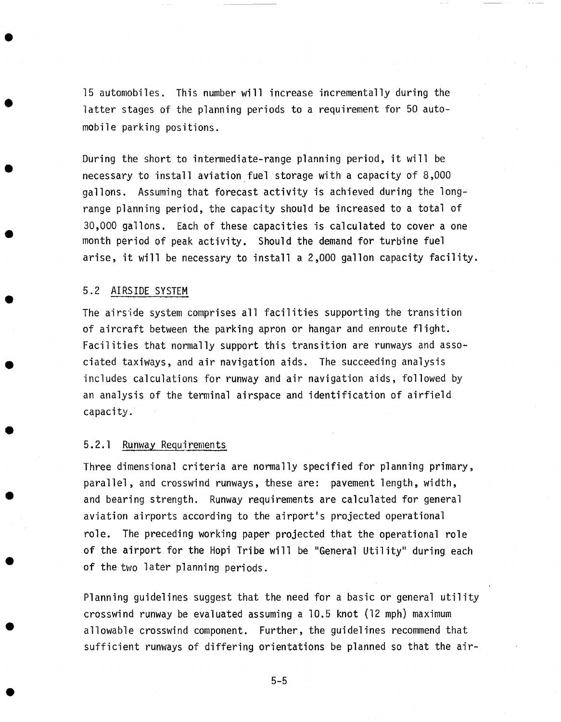15 automobiles. This number will increase incrementally during the latter stages of the planning periods to a requirement for 50 automobile parking positions.

During the short to intermediate-range planning period, it will be necessary to install aviation fuel storage with a capacity of 8,000 gallons. Assuming that forecast activity is achieved during the longrange planning period, the capacity should be increased to a total of 30,000 gallons. Each of these capacities is calculated to cover a one month period of peak activity. Should the demand for turbine fuel arise, it will be necessary to install a 2,000 gallon capacity facility.

#### 5.2 AIRSIDE SYSTEM

The airside system comprises all facilities supporting the transition of aircraft between the parking apron or hangar and enroute flight. Facilities that normally support this transition are runways and associated taxiways, and air navigation aids. The succeeding analysis includes calculations for runway and air navigation aids, followed by an analysis of the terminal airspace and identification of airfield capacity.

#### 5.2.1 Runway Requirements

Three dimensional criteria are normally specified for planning primary, parallel, and crosswind runways, these are: pavement length, width, and bearing strength. Runway requirements are calculated for general aviation airports according to the airport's projected operational role. The preceding working paper projected that the operational role of the airport for the Hopi Tribe will be "General Utility" during each of the two later planning periods.

Planning guidelines suggest that the need for a basic or general utility crosswind runway be evaluated assuming a 10.5 knot (12 mph) maximum allowable crosswind component. Further, the guidelines recommend that sufficient runways of differing orientations be planned so that the air-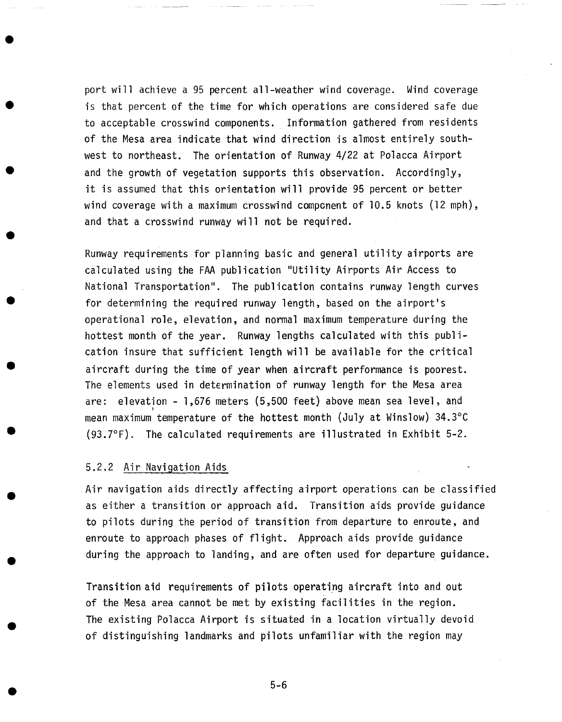port will achieve a 95 percent all-weather wind coverage. Wind coverage is that percent of the time for which operations are considered safe due to acceptable crosswind components. Information gathered from residents of the Mesa area indicate that wind direction is almost entirely southwest to northeast. The orientation of Runway 4/22 at Polacca Airport and the growth of vegetation supports this observation. Accordingly, it is assumed that this orientation will provide 95 percent or better wind coverage with a maximum crosswind component of I0.5 knots (12 mph), and that a crosswind runway will not be required.

Runway requirements for planning basic and general utility airports are calculated using the FAA publication "Utility Airports Air Access to National Transportation". The publication contains runway length curves for determining the required runway length, based on the airport's operational role, elevation, and normal maximum temperature during the hottest month of the year. Runway lengths calculated with this publication insure that sufficient length will be available for the critical aircraft during the time of year when aircraft performance is poorest. The elements used in determination of runway length for the Mesa area are: elevation - 1,676 meters (5,500 feet) above mean sea level, and mean maximum temperature of the hottest month (July at Winslow) 34.3°C (93.7°F). The calculated requirements are illustrated in Exhibit 5-2.

#### 5.2.2 Air Navigation Aids

Air navigation aids directly affecting airport operations can be classified as either a transition or approach aid. Transition aids provide guidance to pilots during the period of transition from departure to enroute, and enroute to approach phases of flight. Approach aids provide guidance during the approach to landing, and are often used for departure guidance.

Transition aid requirements of pilots operating aircraft into and out of the Mesa area cannot be met by existing facilities in the region. The existing Polacca Airport is situated in a location virtually devoid of distinguishing landmarks and pilots unfamiliar with the region may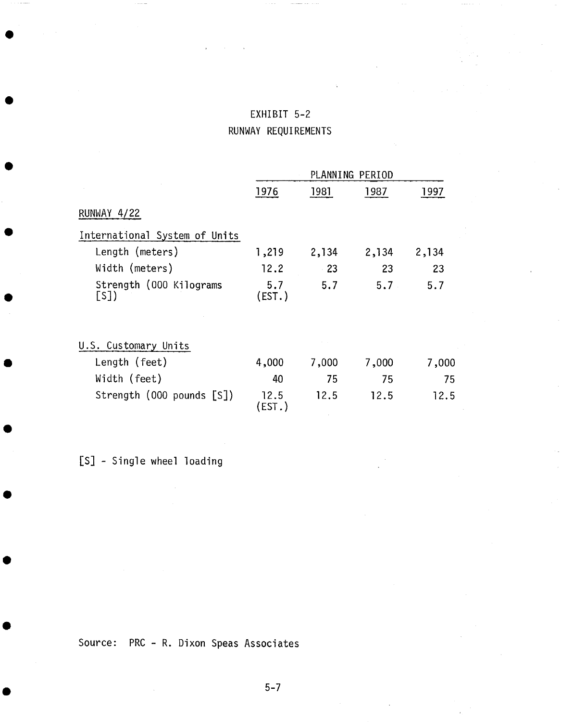| EXHIBIT 5-2 |                     |  |
|-------------|---------------------|--|
|             | RUNWAY REQUIREMENTS |  |

|                                | PLANNING PERIOD |       |       |       |
|--------------------------------|-----------------|-------|-------|-------|
|                                | 1976            | 1981  | 1987  | 1997  |
| RUNWAY 4/22                    |                 |       |       |       |
| International System of Units  |                 |       |       |       |
| Length (meters)                | 1,219           | 2,134 | 2,134 | 2,134 |
| Width (meters)                 | 12.2            | $-23$ | 23    | 23    |
| Strength (000 Kilograms<br>[S] | 5.7<br>(EST.)   | 5.7   | 5.7   | 5.7   |
| U.S. Customary Units           |                 |       |       |       |
| Length (feet)                  | 4,000           | 7,000 | 7,000 | 7,000 |
| Width (feet)                   | 40              | 75    | 75    | 75    |
| Strength (000 pounds [S])      | 12.5<br>(EST.)  | 12.5  | 12.5  | 12.5  |

[S] - Single wheel loading

Source: PRC - R. Dixon Speas Associates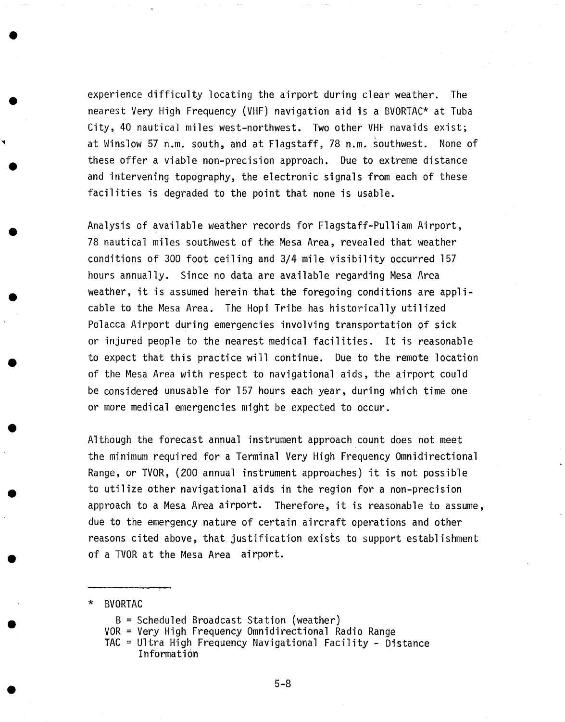experience difficulty locating the airport during clear weather. The nearest Very High Frequency (VHF) navigation aid is a BVORTAC\* at Tuba City, 40 nautical miles west-northwest. Two other VHF navaids exist; at Winslow 57 n.m. south, and at Flagstaff, 78 n.m. southwest. None of these offer a viable non-precision approach. Due to extreme distance and intervening topography, the electronic signals from each of these facilities is degraded to the point that none is usable.

Analysis of available weather records for Flagstaff-Pulliam Airport, 78 nautical miles southwest of the Mesa Area, revealed that weather conditions of 300 foot ceiling and 3/4 mile visibility occurred 157 hours annually. Since no data are available regarding Mesa Area weather, it is assumed herein that the foregoing conditions are applicable to the Mesa Area. The Hopi Tribe has historically utilized Polacca Airport during emergencies involving transportation of sick or injured people to the nearest medical facilities. It is reasonable to expect that this practice will continue. Due to the remote location of the Mesa Area with respect to navigational aids, the airport could be considered unusable for 157 hours each year, during which time one or more medical emergencies might be expected to occur.

Although the forecast annual instrument approach count does not meet the minimum required for a Terminal Very High Frequency Omnidirectional Range, or TVOR, (200 annual instrument approaches) it is not possible to utilize other navigational aids in the region for a non-precision approach to a Mesa Area airport. Therefore, it is reasonable to assume, due to the emergency nature of certain aircraft operations and other reasons cited above, that justification exists to support establishment of a TVOR at the Mesa Area airport.

\* BVORTAC

**0** 

**0** 

- $B =$  Scheduled Broadcast Station (weather)
- VOR = Very High Frequency Omnidirectional Radio Range
- TAC = Ultra High Frequency Navigational Facility Distance Information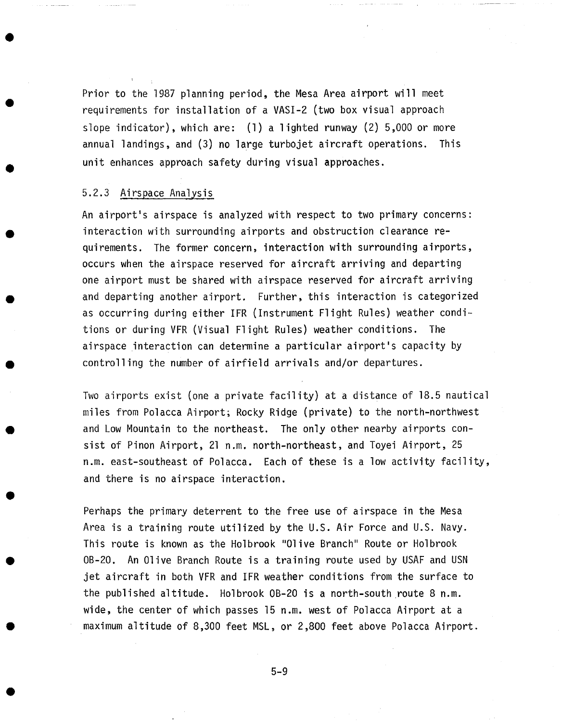Prior to the 1987 planning period, the Mesa Area airport will meet requirements for installation of a VASI-2 (two box visual approach slope indicator), which are: (I) a lighted runway (2) 5,000 or more annual landings, and (3) no large turbojet aircraft operations. This unit enhances approach safety during visual approaches.

#### 5.2.3 Airspace Analysis

An airport's airspace is analyzed with respect to two primary concerns: interaction with surrounding airports and obstruction clearance requirements. The former concern, interaction with surrounding airports, occurs when the airspace reserved for aircraft arriving and departing one airport must be shared with airspace reserved for aircraft arriving and departing another airport. Further, this interaction is categorized as occurring during either IFR (Instrument Flight Rules) weather conditions or during VFR (Visual Flight Rules) weather conditions. The airspace interaction can determine a particular airport's capacity by controlling the number of airfield arrivals and/or departures.

Two airports exist (one a private facility) at a distance of 18.5 nautical miles from Polacca Airport; Rocky Ridge (private) to the north-northwest and Low Mountain to the northeast. The only other nearby airports consist of Pinon Airport, 21 n.m. north-northeast, and Toyei Airport, 25 n.m. east-southeast of Polacca. Each of these is a low activity facility, and there is no airspace interaction.

Perhaps the primary deterrent to the free use of airspace in the Mesa Area is a training route utilized by the U.S. Air Force and U.S. Navy. This route is known as the Holbrook "Olive Branch" Route or Holbrook OB-20. An Olive Branch Route is a training route used by USAF and USN jet aircraft in both VFR and IFR weather conditions from the surface to the published altitude. Holbrook OB-20 is a north-south route 8 n.m. wide, the center of which passes 15 n.m. west of Polacca Airport at a maximum altitude of 8,300 feet MSL, or 2,800 feet above Polacca Airport.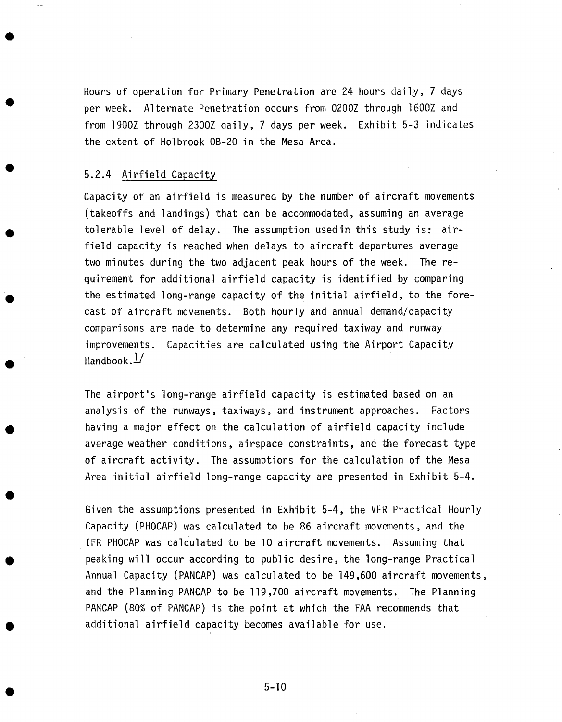Hours of operation for Primary Penetration are 24 hours daily, 7 days per week. Alternate Penetration occurs from 0200Z through 1600Z and from 1900Z through 2300Z daily, 7 days per week. Exhibit 5-3 indicates the extent of Holbrook OB-20 in the Mesa Area.

#### 5.2.4 Airfield Capacity

Capacity of an airfield is measured by the number of aircraft movements (takeoffs and landings) that can be accommodated, assuming an average tolerable level of delay. The assumption usedin this study is: airfield capacity is reached when delays to aircraft departures average two minutes during the two adjacent peak hours of the week. The requirement for additional airfield capacity is identified by comparing the estimated long-range capacity of the initial airfield, to the forecast of aircraft movements. Both hourly and annual demand/capacity comparisons are made to determine any required taxiway and runway improvements. Capacities are calculated using the Airport Capacity Handbook. $\frac{1}{2}$ 

The airport's long-range airfield capacity is estimated based on an analysis of the runways, taxiways, and instrument approaches. Factors having a major effect on the calculation of airfield capacity include average weather conditions, airspace constraints, and the forecast type of aircraft activity. The assumptions for the calculation of the Mesa Area initial airfield long-range capacity are presented in Exhibit 5-4.

Given the assumptions presented in Exhibit 5-4, the VFR Practical Hourly Capacity (PHOCAP) was calculated to be 86 aircraft movements, and the IFR PHOCAP was calculated to be I0 aircraft movements. Assuming that peaking will occur according to public desire, the long-range Practical Annual Capacity (PANCAP) was calculated to be 149,600 aircraft movements, and the Planning PANCAP to be 119,700 aircraft movements. The Planning PANCAP (80% of PANCAP) is the point at which the FAA recommends that additional airfield capacity becomes available for use.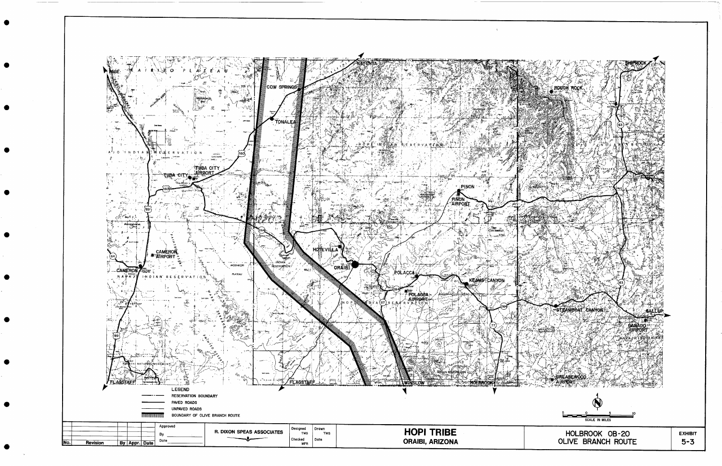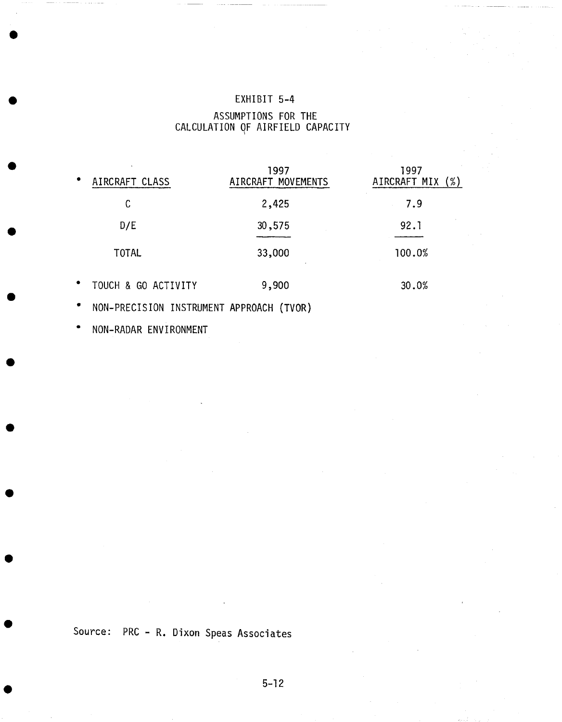## EXHIBIT 5-4

### ASSUMPTIONS FOR THE CALCULATION OF AIRFIELD CAPACITY

| $\bullet$ | AIRCRAFT CLASS      | 1997<br>AIRCRAFT MOVEMENTS | 1997<br>AIRCRAFT MIX (%) |
|-----------|---------------------|----------------------------|--------------------------|
|           | C                   | 2,425                      | 7.9                      |
|           | D/E                 | 30,575                     | 92.1                     |
|           | TOTAL               | 33,000                     | 100.0%                   |
| $\bullet$ | TOUCH & GO ACTIVITY | 9,900                      | 30.0%                    |
|           |                     |                            |                          |

• NON-PREClSlON INSTRUMENT APPROACH (TVOR)

**°** NON-RADAR ENVIRONMENT

Source: PRC - R. Dixon Speas Associates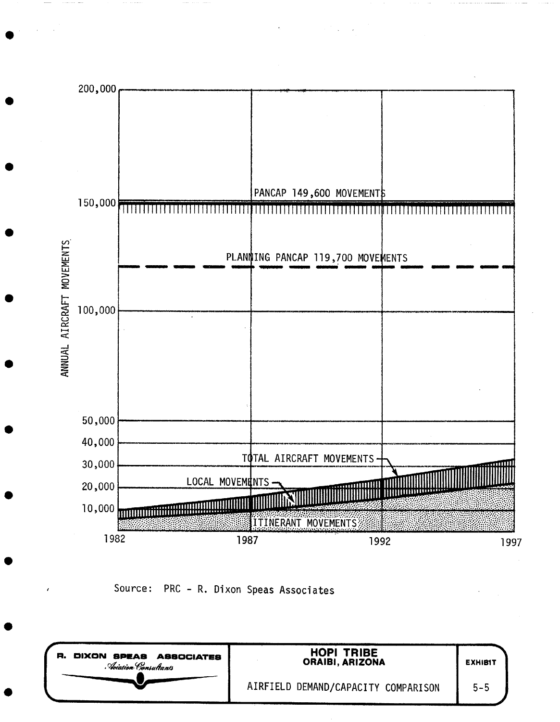

Source: PRC - R. Dixon Speas Associates

| DIXON SPEAS ASSOCIATES<br>я.<br>Noiation Consultants | <b>HOPI TRIBE</b><br>ORAIBI, ARIZONA | <b>EXHIBIT</b> |
|------------------------------------------------------|--------------------------------------|----------------|
|                                                      | AIRFIELD DEMAND/CAPACITY COMPARISON  | $5 - 5$        |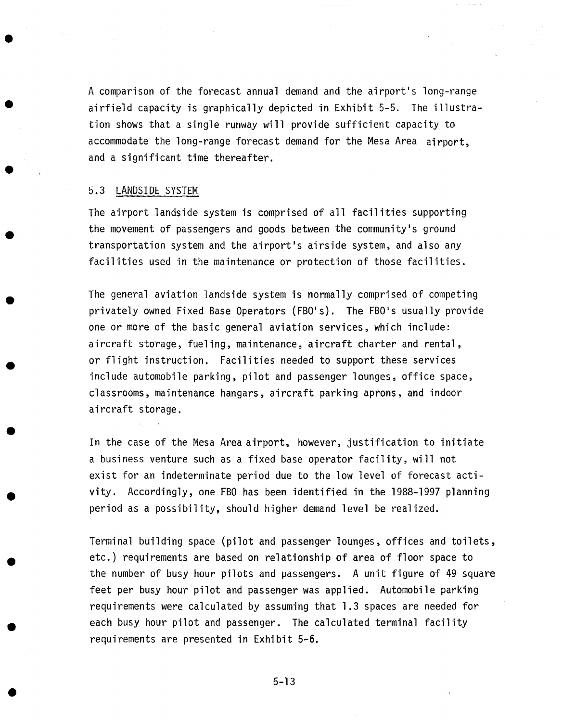A comparison of the forecast annual demand and the airport's long-range airfield capacity is graphically depicted in Exhibit 5-5. The illustration shows that a single runway will provide sufficient capacity to accommodate the long-range forecast demand for the Mesa Area airport, and a significant time thereafter.

#### 5.3 LANDSIDE SYSTEM

The airport landside system is comprised of all facilities supporting the movement of passengers and goods between the community's ground transportation system and the airport's airside system, and also any facilities used in the maintenance or protection of those facilities.

The general aviation landside system is normally comprised of competing privately owned Fixed Base Operators (FBO's). The FBO's usually provide one or more of the basic general aviation services, which include: aircraft storage, fueling, maintenance, aircraft charter and rental, or flight instruction. Facilities needed to support these services include automobile parking, pilot and passenger lounges, office space, classrooms, maintenance hangars, aircraft parking aprons, and indoor aircraft storage.

In the case of the Mesa Area airport, however, justification to initiate a business venture such as a fixed base operator facility, will not exist for an indeterminate period due to the low level of forecast activity. Accordingly, one FBO has been identified in the 1988-1997 planning period as a possibility, should higher demand level be realized.

Terminal building space (pilot and passenger lounges, offices and toilets, etc.) requirements are based on relationship of area of floor space to the number of busy hour pilots and passengers. A unit figure of 49 square feet per busy hour pilot and passenger was applied. Automobile parking requirements were calculated by assuming that 1.3 spaces are needed for each busy hour pilot and passenger. The calculated terminal facility requirements are presented in Exhibit 5-6.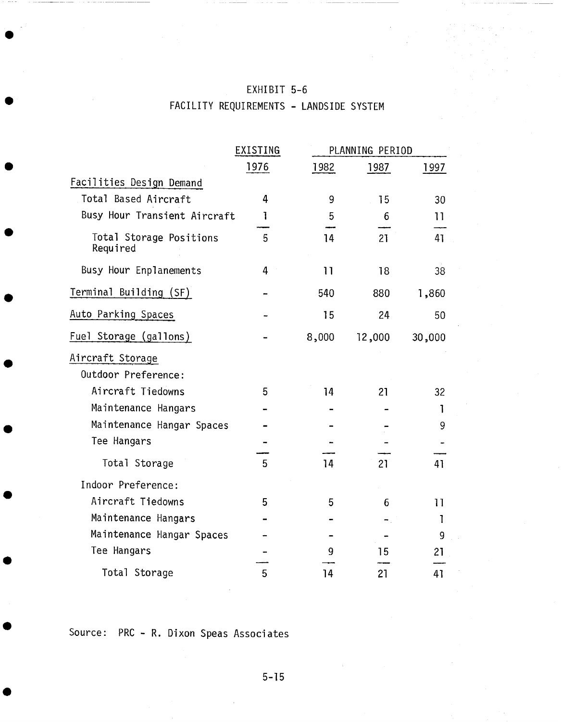# EXHIBIT 5-6 FACILITY REQUIREMENTS - LANDSIDE SYSTEM

|                                     | EXISTING | PLANNING PERIOD |        |        |
|-------------------------------------|----------|-----------------|--------|--------|
|                                     | 1976     | 1982            | 1987   | 1997   |
| Facilities Design Demand            |          |                 |        |        |
| Total Based Aircraft                | 4        | 9               | 15     | 30     |
| Busy Hour Transient Aircraft        | ı        | 5               | 6      | 11     |
| Total Storage Positions<br>Required | 5        | 14              | 21     | 41     |
| Busy Hour Enplanements              | 4        | 11              | 18     | 38     |
| Terminal Building (SF)              |          | 540             | 880    | 1,860  |
| Auto Parking Spaces                 |          | 15              | 24     | 50     |
| Fuel Storage (gallons)              |          | 8,000           | 12,000 | 30,000 |
| Aircraft Storage                    |          |                 |        |        |
| Outdoor Preference:                 |          |                 |        |        |
| Aircraft Tiedowns                   | 5        | 14              | 21     | 32     |
| Maintenance Hangars                 |          |                 |        | 1      |
| Maintenance Hangar Spaces           |          |                 |        | 9      |
| Tee Hangars                         |          |                 |        |        |
| Total Storage                       | 5        | 14              | 21     | 41     |
| Indoor Preference:                  |          |                 |        |        |
| Aircraft Tiedowns                   | 5        | 5               | 6      | 11     |
| Maintenance Hangars                 |          |                 |        | ı      |
| Maintenance Hangar Spaces           |          |                 |        | 9      |
| Tee Hangars                         |          | 9               | 15     | 21     |
| Total Storage                       | 5        | 14              | 21     | 41     |

Source: PRC - R. Dixon Speas Associates

5-]5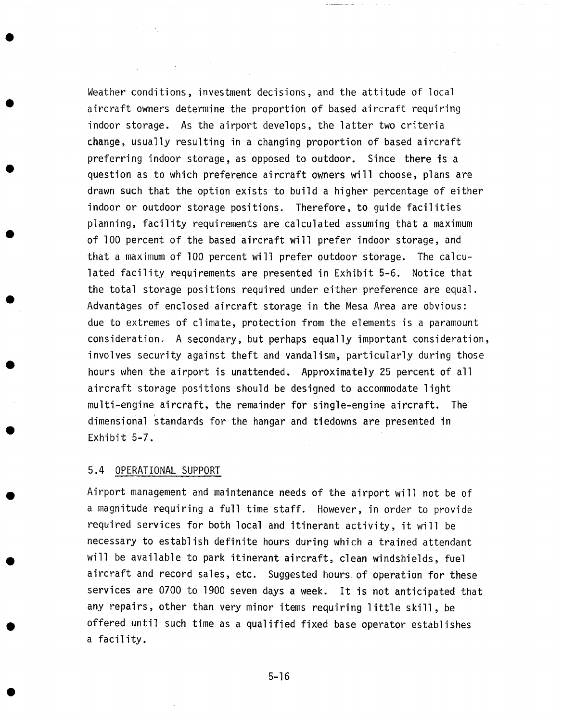Weather conditions, investment decisions, and the attitude of local aircraft owners determine the proportion of based aircraft requiring indoor storage. As the airport develops, the latter two criteria change, usually resulting in a changing proportion of based aircraft preferring indoor storage, as opposed to outdoor. Since there is a question as to which preference aircraft owners will choose, plans are drawn such that the option exists to build a higher percentage of either indoor or outdoor storage positions. Therefore, to guide facilities planning, facility requirements are calculated assuming that a maximum of I00 percent of the based aircraft will prefer indoor storage, and that a maximum of I00 percent will prefer outdoor storage. The calculated facility requirements are presented in Exhibit 5-6. Notice that the total storage positions required under either preference are equal. Advantages of enclosed aircraft storage in the Mesa Area are obvious: due to extremes of climate, protection from the elements is a paramount consideration. A secondary, but perhaps equally important consideration, involves security against theft and vandalism, particularly during those hours when the airport is unattended. Approximately 25 percent of all aircraft storage positions should be designed to accommodate light multi-engine aircraft, the remainder for single-engine aircraft. The dimensional standards for the hangar and tiedowns are presented in Exhibit 5-7.

### 5.4 OPERATIONAL SUPPORT

Airport management and maintenance needs of the airport will not be of a magnitude requiring a full time staff. However, in order to provide required services for both local and itinerant activity, it will be necessary to establish definite hours during which a trained attendant will be available to park itinerant aircraft, clean windshields, fuel aircraft and record sales, etc. Suggested hours of operation for these services are 0700 to 1900 seven days a week. It is not anticipated that any repairs, other than very minor items requiring little skill, be offered until such time as a qualified fixed base operator establishes a facility.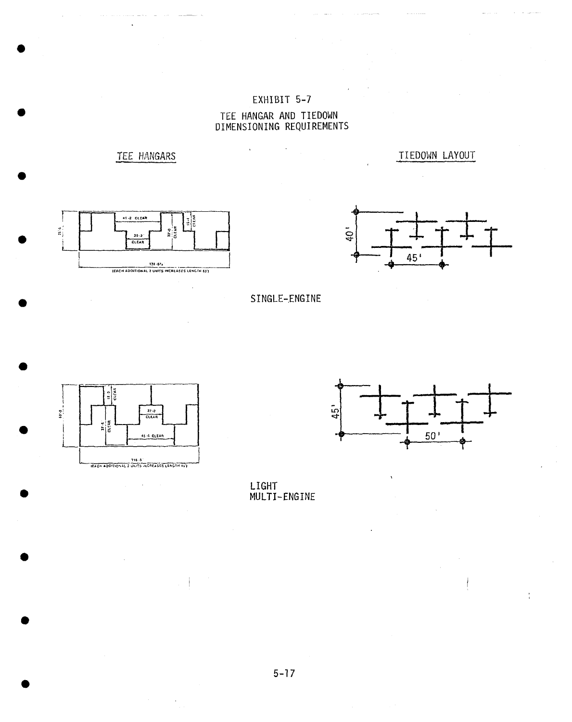# EXHIBIT 5-7 TEE HANGAR AND TIEDOWN<br>DIMENSIONING REQUIREMENTS

 $\ddot{\phantom{a}}$ 

TEE HANGARS

 $\ddot{\phantom{1}}$ 

 $41.2$  CLEAR ાફ  $\frac{9}{16}$  $20.2^{\circ}$ **CLEAR** 138-63.<br>ELCH ADDITIONAL 2 UNITS INCREASES LENGTH 63')



TIEDOWN LAYOUT